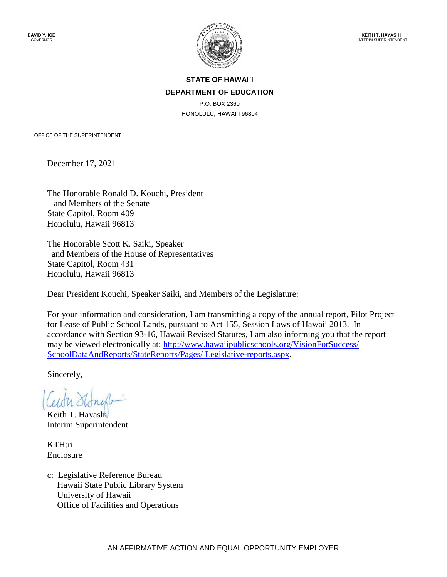

## **STATE OF HAWAI`I DEPARTMENT OF EDUCATION**

P.O. BOX 2360 HONOLULU, HAWAI`I 96804

OFFICE OF THE SUPERINTENDENT

December 17, 2021

The Honorable Ronald D. Kouchi, President and Members of the Senate State Capitol, Room 409 Honolulu, Hawaii 96813

The Honorable Scott K. Saiki, Speaker and Members of the House of Representatives State Capitol, Room 431 Honolulu, Hawaii 96813

Dear President Kouchi, Speaker Saiki, and Members of the Legislature:

For your information and consideration, I am transmitting a copy of the annual report, Pilot Project for Lease of Public School Lands, pursuant to Act 155, Session Laws of Hawaii 2013. In accordance with Section 93-16, Hawaii Revised Statutes, I am also informing you that the report may be viewed electronically at: [http://www.hawaiipublicschools.org/VisionForSuccess/](http://www.hawaiipublicschools.org/VisionForSuccess/SchoolDataAndReports/StateReports/Pages/Legislative-reports.aspx)  [SchoolDataAndReports/StateReports/Pages/ Legislative-reports.aspx.](http://www.hawaiipublicschools.org/VisionForSuccess/SchoolDataAndReports/StateReports/Pages/Legislative-reports.aspx)

Sincerely,

Keith T. Hayashi Interim Superintendent

KTH:ri Enclosure

c: Legislative Reference Bureau Hawaii State Public Library System University of Hawaii Office of Facilities and Operations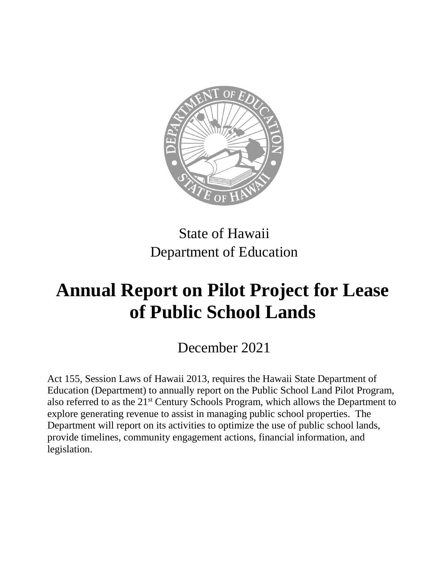

# State of Hawaii Department of Education

# **Annual Report on Pilot Project for Lease of Public School Lands**

December 2021

Act 155, Session Laws of Hawaii 2013, requires the Hawaii State Department of Education (Department) to annually report on the Public School Land Pilot Program, also referred to as the 21<sup>st</sup> Century Schools Program, which allows the Department to explore generating revenue to assist in managing public school properties. The Department will report on its activities to optimize the use of public school lands, provide timelines, community engagement actions, financial information, and legislation.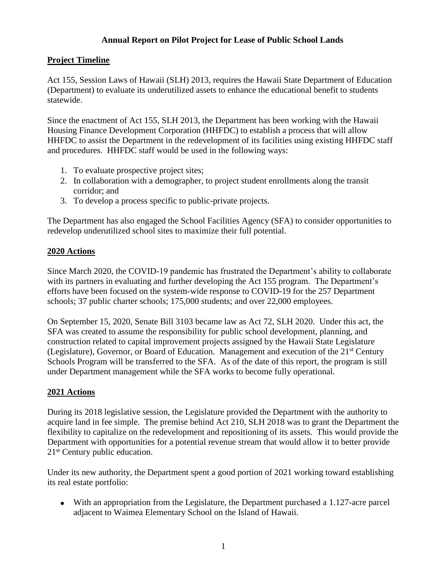### **Annual Report on Pilot Project for Lease of Public School Lands**

#### **Project Timeline**

Act 155, Session Laws of Hawaii (SLH) 2013, requires the Hawaii State Department of Education (Department) to evaluate its underutilized assets to enhance the educational benefit to students statewide.

Since the enactment of Act 155, SLH 2013, the Department has been working with the Hawaii Housing Finance Development Corporation (HHFDC) to establish a process that will allow HHFDC to assist the Department in the redevelopment of its facilities using existing HHFDC staff and procedures. HHFDC staff would be used in the following ways:

- 1. To evaluate prospective project sites;
- 2. In collaboration with a demographer, to project student enrollments along the transit corridor; and
- 3. To develop a process specific to public-private projects.

The Department has also engaged the School Facilities Agency (SFA) to consider opportunities to redevelop underutilized school sites to maximize their full potential.

#### **2020 Actions**

Since March 2020, the COVID-19 pandemic has frustrated the Department's ability to collaborate with its partners in evaluating and further developing the Act 155 program. The Department's efforts have been focused on the system-wide response to COVID-19 for the 257 Department schools; 37 public charter schools; 175,000 students; and over 22,000 employees.

On September 15, 2020, Senate Bill 3103 became law as Act 72, SLH 2020. Under this act, the SFA was created to assume the responsibility for public school development, planning, and construction related to capital improvement projects assigned by the Hawaii State Legislature (Legislature), Governor, or Board of Education. Management and execution of the 21<sup>st</sup> Century Schools Program will be transferred to the SFA. As of the date of this report, the program is still under Department management while the SFA works to become fully operational.

#### **2021 Actions**

During its 2018 legislative session, the Legislature provided the Department with the authority to acquire land in fee simple. The premise behind Act 210, SLH 2018 was to grant the Department the flexibility to capitalize on the redevelopment and repositioning of its assets. This would provide the Department with opportunities for a potential revenue stream that would allow it to better provide 21<sup>st</sup> Century public education.

Under its new authority, the Department spent a good portion of 2021 working toward establishing its real estate portfolio:

 With an appropriation from the Legislature, the Department purchased a 1.127-acre parcel adjacent to Waimea Elementary School on the Island of Hawaii.